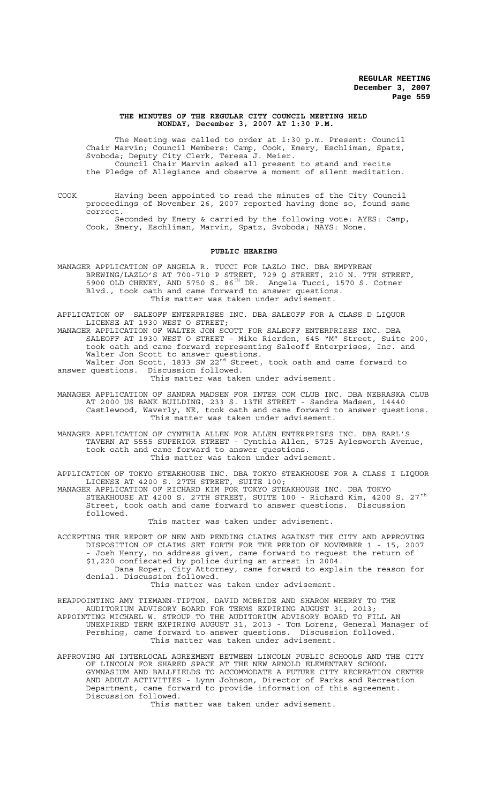#### **THE MINUTES OF THE REGULAR CITY COUNCIL MEETING HELD MONDAY, December 3, 2007 AT 1:30 P.M.**

The Meeting was called to order at 1:30 p.m. Present: Council Chair Marvin; Council Members: Camp, Cook, Emery, Eschliman, Spatz, Svoboda; Deputy City Clerk, Teresa J. Meier. Council Chair Marvin asked all present to stand and recite the Pledge of Allegiance and observe a moment of silent meditation.

COOK Having been appointed to read the minutes of the City Council proceedings of November 26, 2007 reported having done so, found same correct.

Seconded by Emery & carried by the following vote: AYES: Camp, Cook, Emery, Eschliman, Marvin, Spatz, Svoboda; NAYS: None.

#### **PUBLIC HEARING**

MANAGER APPLICATION OF ANGELA R. TUCCI FOR LAZLO INC. DBA EMPYREAN BREWING/LAZLO'S AT 700-710 P STREET, 729 Q STREET, 210 N. 7TH STREET, 5900 OLD CHENEY, AND 5750 S. 86 $^{TH}$  DR. Angela Tucci, 1570 S. Cotner Blvd., took oath and came forward to answer questions. This matter was taken under advisement.

APPLICATION OF SALEOFF ENTERPRISES INC. DBA SALEOFF FOR A CLASS D LIQUOR LICENSE AT 1930 WEST O STREET;

MANAGER APPLICATION OF WALTER JON SCOTT FOR SALEOFF ENTERPRISES INC. DBA SALEOFF AT 1930 WEST O STREET - Mike Rierden, 645 "M" Street, Suite 200, took oath and came forward representing Saleoff Enterprises, Inc. and Walter Jon Scott to answer questions. Walter Jon Scott, 1833 SW 22 $^{\texttt{nd}}$  Street, took oath and came forward to answer questions. Discussion followed.

This matter was taken under advisement.

MANAGER APPLICATION OF SANDRA MADSEN FOR INTER COM CLUB INC. DBA NEBRASKA CLUB AT 2000 US BANK BUILDING, 233 S. 13TH STREET - Sandra Madsen, 14440 Castlewood, Waverly, NE, took oath and came forward to answer questions. This matter was taken under advisement.

MANAGER APPLICATION OF CYNTHIA ALLEN FOR ALLEN ENTERPRISES INC. DBA EARL'S TAVERN AT 5555 SUPERIOR STREET - Cynthia Allen, 5725 Aylesworth Avenue, took oath and came forward to answer questions. This matter was taken under advisement.

APPLICATION OF TOKYO STEAKHOUSE INC. DBA TOKYO STEAKHOUSE FOR A CLASS I LIQUOR LICENSE AT 4200 S. 27TH STREET, SUITE 100; MANAGER APPLICATION OF RICHARD KIM FOR TOKYO STEAKHOUSE INC. DBA TOKYO STEAKHOUSE AT 4200 S. 27TH STREET, SUITE 100 - Richard Kim, 4200 S. 27 $^{\text{th}}$ Street, took oath and came forward to answer questions. Discussion followed.

This matter was taken under advisement.

ACCEPTING THE REPORT OF NEW AND PENDING CLAIMS AGAINST THE CITY AND APPROVING DISPOSITION OF CLAIMS SET FORTH FOR THE PERIOD OF NOVEMBER 1 - 15, 2007 - Josh Henry, no address given, came forward to request the return of \$1,220 confiscated by police during an arrest in 2004. Dana Roper, City Attorney, came forward to explain the reason for denial. Discussion followed.

This matter was taken under advisement.

REAPPOINTING AMY TIEMANN-TIPTON, DAVID MCBRIDE AND SHARON WHERRY TO THE AUDITORIUM ADVISORY BOARD FOR TERMS EXPIRING AUGUST 31, 2013; APPOINTING MICHAEL W. STROUP TO THE AUDITORIUM ADVISORY BOARD TO FILL AN UNEXPIRED TERM EXPIRING AUGUST 31, 2013 - Tom Lorenz, General Manager of Pershing, came forward to answer questions. Discussion followed. This matter was taken under advisement.

APPROVING AN INTERLOCAL AGREEMENT BETWEEN LINCOLN PUBLIC SCHOOLS AND THE CITY OF LINCOLN FOR SHARED SPACE AT THE NEW ARNOLD ELEMENTARY SCHOOL GYMNASIUM AND BALLFIELDS TO ACCOMMODATE A FUTURE CITY RECREATION CENTER AND ADULT ACTIVITIES - Lynn Johnson, Director of Parks and Recreation Department, came forward to provide information of this agreement. Discussion followed.

This matter was taken under advisement.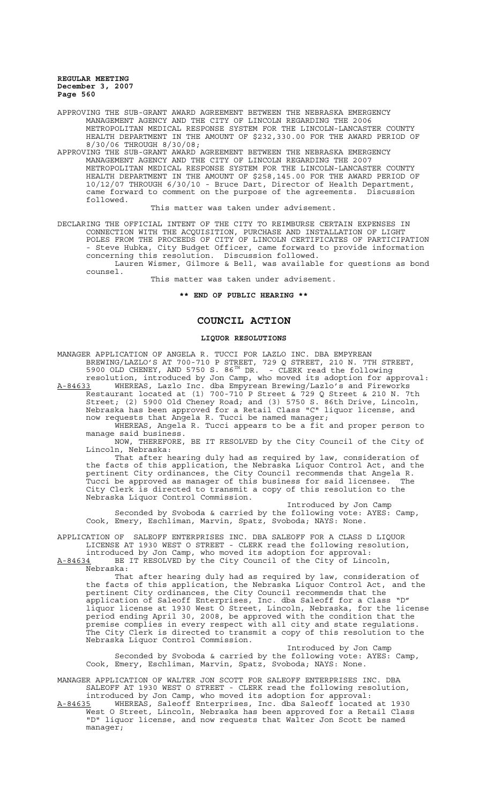APPROVING THE SUB-GRANT AWARD AGREEMENT BETWEEN THE NEBRASKA EMERGENCY MANAGEMENT AGENCY AND THE CITY OF LINCOLN REGARDING THE 2006 METROPOLITAN MEDICAL RESPONSE SYSTEM FOR THE LINCOLN-LANCASTER COUNTY HEALTH DEPARTMENT IN THE AMOUNT OF \$232,330.00 FOR THE AWARD PERIOD OF 8/30/06 THROUGH 8/30/08;

APPROVING THE SUB-GRANT AWARD AGREEMENT BETWEEN THE NEBRASKA EMERGENCY MANAGEMENT AGENCY AND THE CITY OF LINCOLN REGARDING THE 2007 METROPOLITAN MEDICAL RESPONSE SYSTEM FOR THE LINCOLN-LANCASTER COUNTY HEALTH DEPARTMENT IN THE AMOUNT OF \$258,145.00 FOR THE AWARD PERIOD OF 10/12/07 THROUGH 6/30/10 - Bruce Dart, Director of Health Department, came forward to comment on the purpose of the agreements. Discussion followed.

This matter was taken under advisement.

DECLARING THE OFFICIAL INTENT OF THE CITY TO REIMBURSE CERTAIN EXPENSES IN CONNECTION WITH THE ACQUISITION, PURCHASE AND INSTALLATION OF LIGHT POLES FROM THE PROCEEDS OF CITY OF LINCOLN CERTIFICATES OF PARTICIPATION - Steve Hubka, City Budget Officer, came forward to provide information concerning this resolution. Discussion followed.

Lauren Wismer, Gilmore & Bell, was available for questions as bond counsel.

This matter was taken under advisement.

### **\*\* END OF PUBLIC HEARING \*\***

# **COUNCIL ACTION**

# **LIQUOR RESOLUTIONS**

MANAGER APPLICATION OF ANGELA R. TUCCI FOR LAZLO INC. DBA EMPYREAN BREWING/LAZLO'S AT 700-710 P STREET, 729 Q STREET, 210 N. 7TH STREET, 5900 OLD CHENEY, AND 5750 S. 86 $^{TH}$  DR. - CLERK read the following resolution, introduced by Jon Camp, who moved its adoption for approval:

A-84633 WHEREAS, Lazlo Inc. dba Empyrean Brewing/Lazlo's and Fireworks Restaurant located at (1) 700-710 P Street & 729 Q Street & 210 N. 7th Street; (2) 5900 Old Cheney Road; and (3) 5750 S. 86th Drive, Lincoln, Nebraska has been approved for a Retail Class "C" liquor license, and now requests that Angela R. Tucci be named manager;

WHEREAS, Angela R. Tucci appears to be a fit and proper person to manage said business.

NOW, THEREFORE, BE IT RESOLVED by the City Council of the City of Lincoln, Nebraska:

That after hearing duly had as required by law, consideration of the facts of this application, the Nebraska Liquor Control Act, and the pertinent City ordinances, the City Council recommends that Angela R. Tucci be approved as manager of this business for said licensee. The City Clerk is directed to transmit a copy of this resolution to the Nebraska Liquor Control Commission.

Introduced by Jon Camp Seconded by Svoboda & carried by the following vote: AYES: Camp, Cook, Emery, Eschliman, Marvin, Spatz, Svoboda; NAYS: None.

APPLICATION OF SALEOFF ENTERPRISES INC. DBA SALEOFF FOR A CLASS D LIQUOR LICENSE AT 1930 WEST O STREET - CLERK read the following resolution,

introduced by Jon Camp, who moved its adoption for approval: A-84634 BE IT RESOLVED by the City Council of the City of Lincoln,

Nebraska: That after hearing duly had as required by law, consideration of the facts of this application, the Nebraska Liquor Control Act, and the pertinent City ordinances, the City Council recommends that the application of Saleoff Enterprises, Inc. dba Saleoff for a Class "D" liquor license at 1930 West O Street, Lincoln, Nebraska, for the license period ending April 30, 2008, be approved with the condition that the premise complies in every respect with all city and state regulations. The City Clerk is directed to transmit a copy of this resolution to the Nebraska Liquor Control Commission.

Introduced by Jon Camp Seconded by Svoboda & carried by the following vote: AYES: Camp, Cook, Emery, Eschliman, Marvin, Spatz, Svoboda; NAYS: None.

MANAGER APPLICATION OF WALTER JON SCOTT FOR SALEOFF ENTERPRISES INC. DBA SALEOFF AT 1930 WEST O STREET - CLERK read the following resolution, introduced by Jon Camp, who moved its adoption for approval:

A-84635 WHEREAS, Saleoff Enterprises, Inc. dba Saleoff located at 1930 West O Street, Lincoln, Nebraska has been approved for a Retail Class "D" liquor license, and now requests that Walter Jon Scott be named manager;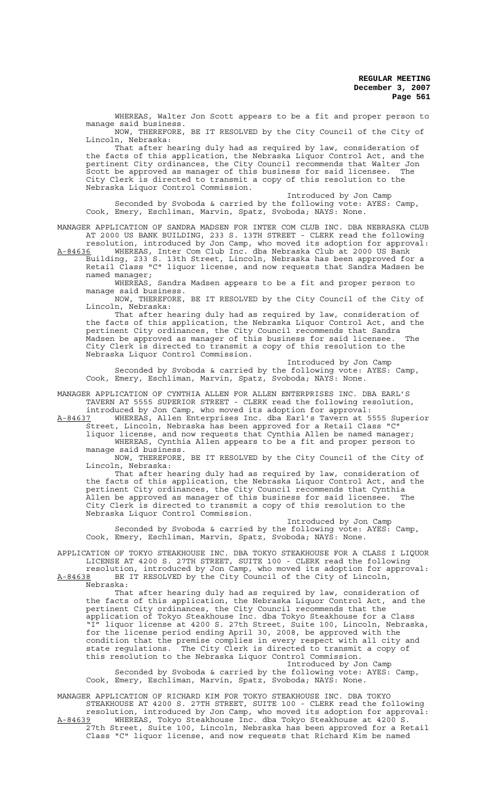WHEREAS, Walter Jon Scott appears to be a fit and proper person to manage said business.

NOW, THEREFORE, BE IT RESOLVED by the City Council of the City of Lincoln, Nebraska:

That after hearing duly had as required by law, consideration of the facts of this application, the Nebraska Liquor Control Act, and the pertinent City ordinances, the City Council recommends that Walter Jon Scott be approved as manager of this business for said licensee. The City Clerk is directed to transmit a copy of this resolution to the Nebraska Liquor Control Commission.

Introduced by Jon Camp Seconded by Svoboda & carried by the following vote: AYES: Camp, Cook, Emery, Eschliman, Marvin, Spatz, Svoboda; NAYS: None.

MANAGER APPLICATION OF SANDRA MADSEN FOR INTER COM CLUB INC. DBA NEBRASKA CLUB AT 2000 US BANK BUILDING, 233 S. 13TH STREET - CLERK read the following resolution, introduced by Jon Camp, who moved its adoption for approval:

A-84636 WHEREAS, Inter Com Club Inc. dba Nebraska Club at 2000 US Bank Building, 233 S. 13th Street, Lincoln, Nebraska has been approved for a

Retail Class "C" liquor license, and now requests that Sandra Madsen be named manager;

WHEREAS, Sandra Madsen appears to be a fit and proper person to manage said business. manage said business.<br>NOW, THEREFORE, BE IT RESOLVED by the City Council of the City of

Lincoln, Nebraska:

That after hearing duly had as required by law, consideration of the facts of this application, the Nebraska Liquor Control Act, and the pertinent City ordinances, the City Council recommends that Sandra Madsen be approved as manager of this business for said licensee. The City Clerk is directed to transmit a copy of this resolution to the Nebraska Liquor Control Commission.

Introduced by Jon Camp Seconded by Svoboda & carried by the following vote: AYES: Camp, Cook, Emery, Eschliman, Marvin, Spatz, Svoboda; NAYS: None.

MANAGER APPLICATION OF CYNTHIA ALLEN FOR ALLEN ENTERPRISES INC. DBA EARL'S TAVERN AT 5555 SUPERIOR STREET - CLERK read the following resolution,

introduced by Jon Camp, who moved its adoption for approval:<br>A-84637 WHEREAS, Allen Enterprises Inc. dba Earl's Tavern at 5 WHEREAS, Allen Enterprises Inc. dba Earl's Tavern at 5555 Superior Street, Lincoln, Nebraska has been approved for a Retail Class "C"

liquor license, and now requests that Cynthia Allen be named manager; WHEREAS, Cynthia Allen appears to be a fit and proper person to manage said business.

NOW, THEREFORE, BE IT RESOLVED by the City Council of the City of Lincoln, Nebraska:

That after hearing duly had as required by law, consideration of the facts of this application, the Nebraska Liquor Control Act, and the pertinent City ordinances, the City Council recommends that Cynthia Allen be approved as manager of this business for said licensee. The City Clerk is directed to transmit a copy of this resolution to the Nebraska Liquor Control Commission.

Introduced by Jon Camp Seconded by Svoboda & carried by the following vote: AYES: Camp, Cook, Emery, Eschliman, Marvin, Spatz, Svoboda; NAYS: None.

APPLICATION OF TOKYO STEAKHOUSE INC. DBA TOKYO STEAKHOUSE FOR A CLASS I LIQUOR LICENSE AT 4200 S. 27TH STREET, SUITE 100 - CLERK read the following

resolution, introduced by Jon Camp, who moved its adoption for approval: A-84638 BE IT RESOLVED by the City Council of the City of Lincoln, Nebraska:

That after hearing duly had as required by law, consideration of the facts of this application, the Nebraska Liquor Control Act, and the pertinent City ordinances, the City Council recommends that the application of Tokyo Steakhouse Inc. dba Tokyo Steakhouse for a Class "I" liquor license at 4200 S. 27th Street, Suite 100, Lincoln, Nebraska, for the license period ending April 30, 2008, be approved with the condition that the premise complies in every respect with all city and<br>state regulations. The City Clerk is directed to transmit a copy of The City Clerk is directed to transmit a copy of this resolution to the Nebraska Liquor Control Commission.

Introduced by Jon Camp Seconded by Svoboda & carried by the following vote: AYES: Camp, Cook, Emery, Eschliman, Marvin, Spatz, Svoboda; NAYS: None.

MANAGER APPLICATION OF RICHARD KIM FOR TOKYO STEAKHOUSE INC. DBA TOKYO STEAKHOUSE AT 4200 S. 27TH STREET, SUITE 100 - CLERK read the following resolution, introduced by Jon Camp, who moved its adoption for approval: A-84639 WHEREAS, Tokyo Steakhouse Inc. dba Tokyo Steakhouse at 4200 S. 27th Street, Suite 100, Lincoln, Nebraska has been approved for a Retail Class "C" liquor license, and now requests that Richard Kim be named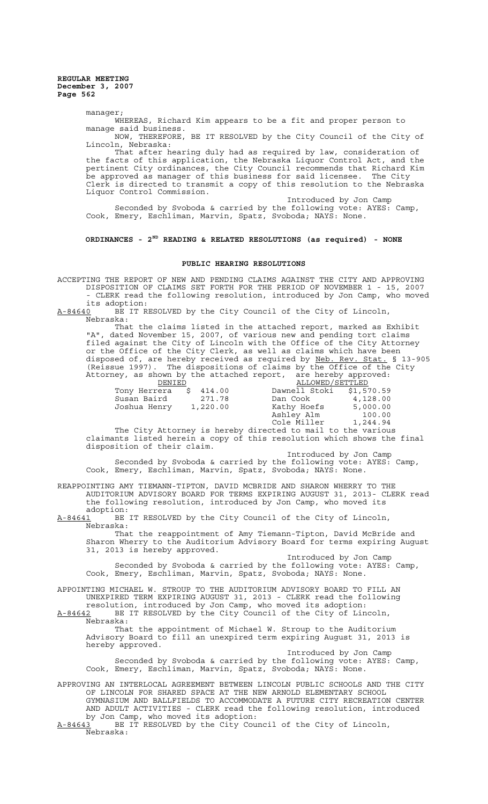manager;

WHEREAS, Richard Kim appears to be a fit and proper person to manage said business.

NOW, THEREFORE, BE IT RESOLVED by the City Council of the City of Lincoln, Nebraska:

That after hearing duly had as required by law, consideration of the facts of this application, the Nebraska Liquor Control Act, and the pertinent City ordinances, the City Council recommends that Richard Kim be approved as manager of this business for said licensee. The City Clerk is directed to transmit a copy of this resolution to the Nebraska Liquor Control Commission.

Introduced by Jon Camp Seconded by Svoboda & carried by the following vote: AYES: Camp, Cook, Emery, Eschliman, Marvin, Spatz, Svoboda; NAYS: None.

**ORDINANCES - 2ND READING & RELATED RESOLUTIONS (as required) - NONE**

#### **PUBLIC HEARING RESOLUTIONS**

ACCEPTING THE REPORT OF NEW AND PENDING CLAIMS AGAINST THE CITY AND APPROVING DISPOSITION OF CLAIMS SET FORTH FOR THE PERIOD OF NOVEMBER 1 - 15, 2007 - CLERK read the following resolution, introduced by Jon Camp, who moved its adoption:<br>A-84640 BE IT R

BE IT RESOLVED by the City Council of the City of Lincoln, Nebraska:

That the claims listed in the attached report, marked as Exhibit "A", dated November 15, 2007, of various new and pending tort claims filed against the City of Lincoln with the Office of the City Attorney or the Office of the City Clerk, as well as claims which have been disposed of, are hereby received as required by Neb. Rev. Stat. § 13-905 (Reissue 1997). The dispositions of claims by the Office of the City Attorney, as shown by the attached report, are hereby approved:

| DENIED       |          | ALLOWED/SETTLED |            |
|--------------|----------|-----------------|------------|
| Tony Herrera | \$414.00 | Dawnell Stoki   | \$1,570.59 |
| Susan Baird  | 271.78   | Dan Cook        | 4,128.00   |
| Joshua Henry | 1,220.00 | Kathy Hoefs     | 5,000.00   |
|              |          | Ashley Alm      | 100.00     |
|              |          | Cole Miller     | 1,244.94   |

The City Attorney is hereby directed to mail to the various claimants listed herein a copy of this resolution which shows the final disposition of their claim.

Introduced by Jon Camp Seconded by Svoboda & carried by the following vote: AYES: Camp, Cook, Emery, Eschliman, Marvin, Spatz, Svoboda; NAYS: None.

REAPPOINTING AMY TIEMANN-TIPTON, DAVID MCBRIDE AND SHARON WHERRY TO THE AUDITORIUM ADVISORY BOARD FOR TERMS EXPIRING AUGUST 31, 2013- CLERK read the following resolution, introduced by Jon Camp, who moved its adoption:

A-84641 BE IT RESOLVED by the City Council of the City of Lincoln, Nebraska:

That the reappointment of Amy Tiemann-Tipton, David McBride and Sharon Wherry to the Auditorium Advisory Board for terms expiring August 31, 2013 is hereby approved.

Introduced by Jon Camp Seconded by Svoboda & carried by the following vote: AYES: Camp, Cook, Emery, Eschliman, Marvin, Spatz, Svoboda; NAYS: None.

APPOINTING MICHAEL W. STROUP TO THE AUDITORIUM ADVISORY BOARD TO FILL AN UNEXPIRED TERM EXPIRING AUGUST 31, 2013 - CLERK read the following

resolution, introduced by Jon Camp, who moved its adoption: A-84642 BE IT RESOLVED by the City Council of the City of Lincoln, Nebraska:

That the appointment of Michael W. Stroup to the Auditorium Advisory Board to fill an unexpired term expiring August 31, 2013 is hereby approved.

Introduced by Jon Camp Seconded by Svoboda & carried by the following vote: AYES: Camp, Cook, Emery, Eschliman, Marvin, Spatz, Svoboda; NAYS: None.

APPROVING AN INTERLOCAL AGREEMENT BETWEEN LINCOLN PUBLIC SCHOOLS AND THE CITY OF LINCOLN FOR SHARED SPACE AT THE NEW ARNOLD ELEMENTARY SCHOOL GYMNASIUM AND BALLFIELDS TO ACCOMMODATE A FUTURE CITY RECREATION CENTER AND ADULT ACTIVITIES - CLERK read the following resolution, introduced by Jon Camp, who moved its adoption:

 $A-84643$  BE IT RESOLVED by the City Council of the City of Lincoln, Nebraska: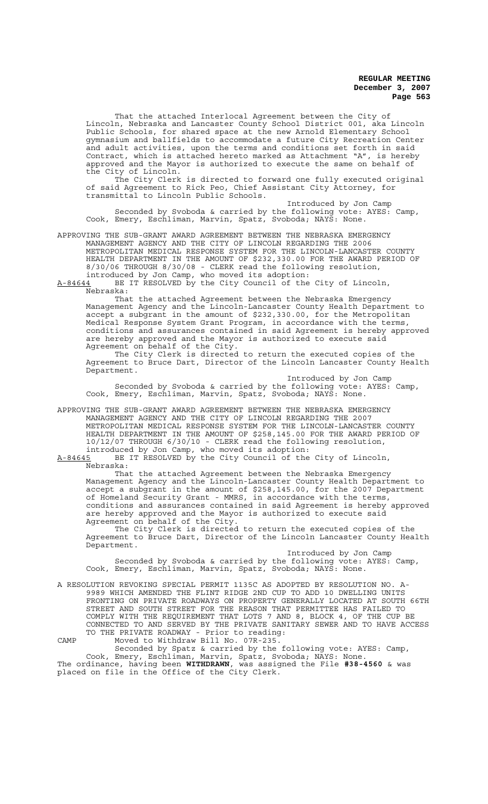That the attached Interlocal Agreement between the City of Lincoln, Nebraska and Lancaster County School District 001, aka Lincoln Public Schools, for shared space at the new Arnold Elementary School gymnasium and ballfields to accommodate a future City Recreation Center and adult activities, upon the terms and conditions set forth in said Contract, which is attached hereto marked as Attachment "A", is hereby approved and the Mayor is authorized to execute the same on behalf of the City of Lincoln.

The City Clerk is directed to forward one fully executed original of said Agreement to Rick Peo, Chief Assistant City Attorney, for transmittal to Lincoln Public Schools.

Introduced by Jon Camp Seconded by Svoboda & carried by the following vote: AYES: Camp, Cook, Emery, Eschliman, Marvin, Spatz, Svoboda; NAYS: None.

APPROVING THE SUB-GRANT AWARD AGREEMENT BETWEEN THE NEBRASKA EMERGENCY MANAGEMENT AGENCY AND THE CITY OF LINCOLN REGARDING THE 2006 METROPOLITAN MEDICAL RESPONSE SYSTEM FOR THE LINCOLN-LANCASTER COUNTY HEALTH DEPARTMENT IN THE AMOUNT OF \$232,330.00 FOR THE AWARD PERIOD OF 8/30/06 THROUGH 8/30/08 - CLERK read the following resolution, introduced by Jon Camp, who moved its adoption:

A-84644 BE IT RESOLVED by the City Council of the City of Lincoln,  $A-84644$  BE<br>Nebraska:

That the attached Agreement between the Nebraska Emergency Management Agency and the Lincoln-Lancaster County Health Department to accept a subgrant in the amount of \$232,330.00, for the Metropolitan Medical Response System Grant Program, in accordance with the terms, conditions and assurances contained in said Agreement is hereby approved are hereby approved and the Mayor is authorized to execute said Agreement on behalf of the City.

The City Clerk is directed to return the executed copies of the Agreement to Bruce Dart, Director of the Lincoln Lancaster County Health Department.

Introduced by Jon Camp Seconded by Svoboda & carried by the following vote: AYES: Camp, Cook, Emery, Eschliman, Marvin, Spatz, Svoboda; NAYS: None.

APPROVING THE SUB-GRANT AWARD AGREEMENT BETWEEN THE NEBRASKA EMERGENCY MANAGEMENT AGENCY AND THE CITY OF LINCOLN REGARDING THE 2007 METROPOLITAN MEDICAL RESPONSE SYSTEM FOR THE LINCOLN-LANCASTER COUNTY HEALTH DEPARTMENT IN THE AMOUNT OF \$258,145.00 FOR THE AWARD PERIOD OF 10/12/07 THROUGH 6/30/10 - CLERK read the following resolution, introduced by Jon Camp, who moved its adoption:

A-84645 BE IT RESOLVED by the City Council of the City of Lincoln,

Nebraska:

That the attached Agreement between the Nebraska Emergency Management Agency and the Lincoln-Lancaster County Health Department to accept a subgrant in the amount of \$258,145.00, for the 2007 Department of Homeland Security Grant - MMRS, in accordance with the terms, conditions and assurances contained in said Agreement is hereby approved are hereby approved and the Mayor is authorized to execute said Agreement on behalf of the City.

The City Clerk is directed to return the executed copies of the Agreement to Bruce Dart, Director of the Lincoln Lancaster County Health Department.

Introduced by Jon Camp Seconded by Svoboda & carried by the following vote: AYES: Camp, Cook, Emery, Eschliman, Marvin, Spatz, Svoboda; NAYS: None.

A RESOLUTION REVOKING SPECIAL PERMIT 1135C AS ADOPTED BY RESOLUTION NO. A-9989 WHICH AMENDED THE FLINT RIDGE 2ND CUP TO ADD 10 DWELLING UNITS FRONTING ON PRIVATE ROADWAYS ON PROPERTY GENERALLY LOCATED AT SOUTH 66TH STREET AND SOUTH STREET FOR THE REASON THAT PERMITTEE HAS FAILED TO COMPLY WITH THE REQUIREMENT THAT LOTS 7 AND 8, BLOCK 4, OF THE CUP BE CONNECTED TO AND SERVED BY THE PRIVATE SANITARY SEWER AND TO HAVE ACCESS TO THE PRIVATE ROADWAY - Prior to reading: CAMP Moved to Withdraw Bill No. 07R-235.

Seconded by Spatz & carried by the following vote: AYES: Camp, Cook, Emery, Eschliman, Marvin, Spatz, Svoboda; NAYS: None. The ordinance, having been **WITHDRAWN**, was assigned the File **#38-4560** & was placed on file in the Office of the City Clerk.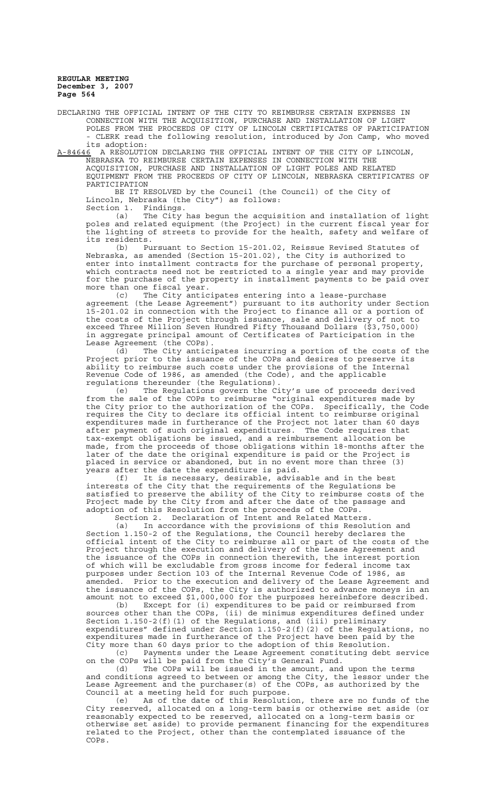DECLARING THE OFFICIAL INTENT OF THE CITY TO REIMBURSE CERTAIN EXPENSES IN CONNECTION WITH THE ACQUISITION, PURCHASE AND INSTALLATION OF LIGHT POLES FROM THE PROCEEDS OF CITY OF LINCOLN CERTIFICATES OF PARTICIPATION - CLERK read the following resolution, introduced by Jon Camp, who moved its adoption:

A-84646 A RESOLUTION DECLARING THE OFFICIAL INTENT OF THE CITY OF LINCOLN, NEBRASKA TO REIMBURSE CERTAIN EXPENSES IN CONNECTION WITH THE ACQUISITION, PURCHASE AND INSTALLATION OF LIGHT POLES AND RELATED EQUIPMENT FROM THE PROCEEDS OF CITY OF LINCOLN, NEBRASKA CERTIFICATES OF PARTICIPATION

BE IT RESOLVED by the Council (the Council) of the City of Lincoln, Nebraska (the City") as follows: Section 1. Findings.

(a) The City has begun the acquisition and installation of light poles and related equipment (the Project) in the current fiscal year for the lighting of streets to provide for the health, safety and welfare of

its residents.<br>(b) Pu (b) Pursuant to Section 15-201.02, Reissue Revised Statutes of Nebraska, as amended (Section 15-201.02), the City is authorized to enter into installment contracts for the purchase of personal property, which contracts need not be restricted to a single year and may provide for the purchase of the property in installment payments to be paid over nore than one fiscal year.

(c) The City anticipates entering into a lease-purchase agreement (the Lease Agreement") pursuant to its authority under Section 15-201.02 in connection with the Project to finance all or a portion of the costs of the Project through issuance, sale and delivery of not to exceed Three Million Seven Hundred Fifty Thousand Dollars (\$3,750,000) in aggregate principal amount of Certificates of Participation in the Lease Agreement (the COPs).

(d) The City anticipates incurring a portion of the costs of the Project prior to the issuance of the COPs and desires to preserve its ability to reimburse such costs under the provisions of the Internal Revenue Code of 1986, as amended (the Code), and the applicable regulations thereunder (the Regulations).

(e) The Regulations govern the City's use of proceeds derived from the sale of the COPs to reimburse "original expenditures made by the City prior to the authorization of the COPs. Specifically, the Code requires the City to declare its official intent to reimburse original expenditures made in furtherance of the Project not later than 60 days after payment of such original expenditures. The Code requires that tax-exempt obligations be issued, and a reimbursement allocation be made, from the proceeds of those obligations within 18-months after the later of the date the original expenditure is paid or the Project is placed in service or abandoned, but in no event more than three (3) years after the date the expenditure is paid.

(f) It is necessary, desirable, advisable and in the best interests of the City that the requirements of the Regulations be satisfied to preserve the ability of the City to reimburse costs of the Project made by the City from and after the date of the passage and adoption of this Resolution from the proceeds of the COPs.

Section 2. Declaration of Intent and Related Matters. (a) In accordance with the provisions of this Resolution and Section 1.150-2 of the Regulations, the Council hereby declares the official intent of the City to reimburse all or part of the costs of the Project through the execution and delivery of the Lease Agreement and the issuance of the COPs in connection therewith, the interest portion of which will be excludable from gross income for federal income tax purposes under Section 103 of the Internal Revenue Code of 1986, as amended. Prior to the execution and delivery of the Lease Agreement and the issuance of the COPs, the City is authorized to advance moneys in an

amount not to exceed \$1,000,000 for the purposes hereinbefore described.<br>(b) Except for (i) expenditures to be paid or reimbursed from Except for (i) expenditures to be paid or reimbursed from sources other than the COPs, (ii) de minimus expenditures defined under Section 1.150-2(f)(1) of the Regulations, and (iii) preliminary expenditures" defined under Section 1.150-2(f)(2) of the Regulations, no expenditures made in furtherance of the Project have been paid by the City more than 60 days prior to the adoption of this Resolution.

(c) Payments under the Lease Agreement constituting debt service on the COPs will be paid from the City's General Fund.

(d) The COPs will be issued in the amount, and upon the terms and conditions agreed to between or among the City, the lessor under the Lease Agreement and the purchaser(s) of the COPs, as authorized by the Council at a meeting held for such purpose.

(e) As of the date of this Resolution, there are no funds of the City reserved, allocated on a long-term basis or otherwise set aside (or reasonably expected to be reserved, allocated on a long-term basis or otherwise set aside) to provide permanent financing for the expenditures related to the Project, other than the contemplated issuance of the COPs.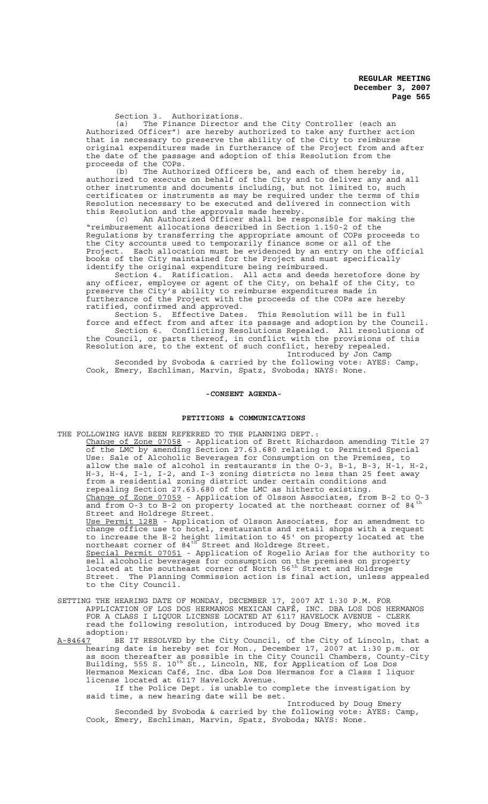Section 3. Authorizations.

(a) The Finance Director and the City Controller (each an Authorized Officer") are hereby authorized to take any further action that is necessary to preserve the ability of the City to reimburse original expenditures made in furtherance of the Project from and after the date of the passage and adoption of this Resolution from the proceeds of the COPs.

(b) The Authorized Officers be, and each of them hereby is, authorized to execute on behalf of the City and to deliver any and all other instruments and documents including, but not limited to, such certificates or instruments as may be required under the terms of this Resolution necessary to be executed and delivered in connection with this Resolution and the approvals made hereby.<br>(c) An Authorized Officer shall be res

An Authorized Officer shall be responsible for making the "reimbursement allocations described in Section 1.150-2 of the Regulations by transferring the appropriate amount of COPs proceeds to the City accounts used to temporarily finance some or all of the<br>Project. Each allocation must be evidenced by an entry on the official Project. Each allocation must be evidenced by an entry on the official books of the City maintained for the Project and must specifically identify the original expenditure being reimbursed.

Section 4. Ratification. All acts and deeds heretofore done by any officer, employee or agent of the City, on behalf of the City, to preserve the City's ability to reimburse expenditures made in furtherance of the Project with the proceeds of the COPs are hereby ratified, confirmed and approved.

Section 5. Effective Dates. This Resolution will be in full force and effect from and after its passage and adoption by the Council.

Section 6. Conflicting Resolutions Repealed. All resolutions of the Council, or parts thereof, in conflict with the provisions of this Resolution are, to the extent of such conflict, hereby repealed. Introduced by Jon Camp

Seconded by Svoboda & carried by the following vote: AYES: Camp, Cook, Emery, Eschliman, Marvin, Spatz, Svoboda; NAYS: None.

#### **-CONSENT AGENDA-**

#### **PETITIONS & COMMUNICATIONS**

- THE FOLLOWING HAVE BEEN REFERRED TO THE PLANNING DEPT.: Change of Zone 07058 - Application of Brett Richardson amending Title 27 of the LMC by amending Section 27.63.680 relating to Permitted Special Use: Sale of Alcoholic Beverages for Consumption on the Premises, to allow the sale of alcohol in restaurants in the O-3, B-1, B-3, H-1, H-2, H-3, H-4, I-1, I-2, and I-3 zoning districts no less than 25 feet away from a residential zoning district under certain conditions and repealing Section 27.63.680 of the LMC as hitherto existing. Change of Zone 07059 - Application of Olsson Associates, from B-2 to O-3 and from  $0-3$  to B-2 on property located at the northeast corner of  $84<sup>1</sup>$ Street and Holdrege Street. Use Permit 128B - Application of Olsson Associates, for an amendment to change office use to hotel, restaurants and retail shops with a request to increase the B-2 height limitation to 45' on property located at the northeast corner of  $84^{\text{th}}$  Street and Holdrege Street. Special Permit 07051 - Application of Rogelio Arias for the authority to sell alcoholic beverages for consumption on the premises on property located at the southeast corner of North 56<sup>th</sup> Street and Holdrege Street. The Planning Commission action is final action, unless appealed to the City Council.
- SETTING THE HEARING DATE OF MONDAY, DECEMBER 17, 2007 AT 1:30 P.M. FOR APPLICATION OF LOS DOS HERMANOS MEXICAN CAFÉ, INC. DBA LOS DOS HERMANOS FOR A CLASS I LIQUOR LICENSE LOCATED AT 6117 HAVELOCK AVENUE - CLERK read the following resolution, introduced by Doug Emery, who moved its  $\frac{\text{adoption:}}{\text{A-84647}}$
- BE IT RESOLVED by the City Council, of the City of Lincoln, that a hearing date is hereby set for Mon., December 17, 2007 at 1:30 p.m. or as soon thereafter as possible in the City Council Chambers, County-City Building, 555 S. 10<sup>th</sup> St., Lincoln, NE, for Application of Los Dos Hermanos Mexican Café, Inc. dba Los Dos Hermanos for a Class I liquor license located at 6117 Havelock Avenue.
	- If the Police Dept. is unable to complete the investigation by said time, a new hearing date will be set.

Introduced by Doug Emery Seconded by Svoboda & carried by the following vote: AYES: Camp, Cook, Emery, Eschliman, Marvin, Spatz, Svoboda; NAYS: None.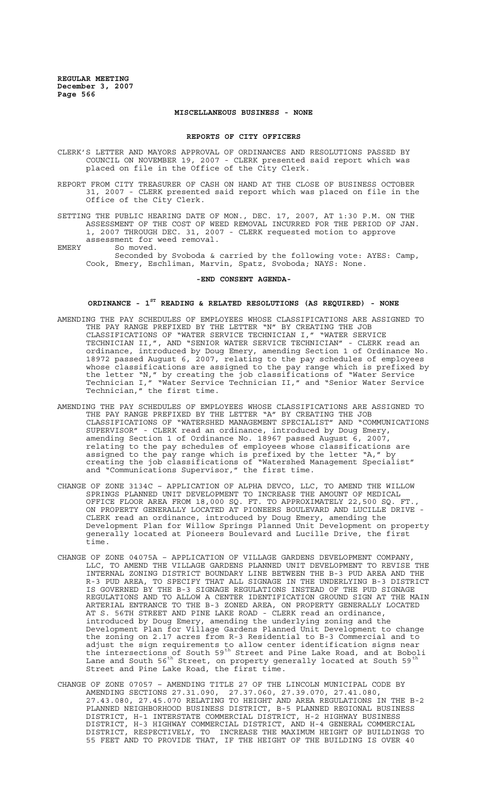### **MISCELLANEOUS BUSINESS - NONE**

#### **REPORTS OF CITY OFFICERS**

- CLERK'S LETTER AND MAYORS APPROVAL OF ORDINANCES AND RESOLUTIONS PASSED BY COUNCIL ON NOVEMBER 19, 2007 - CLERK presented said report which was placed on file in the Office of the City Clerk.
- REPORT FROM CITY TREASURER OF CASH ON HAND AT THE CLOSE OF BUSINESS OCTOBER 31, 2007 - CLERK presented said report which was placed on file in the Office of the City Clerk.

SETTING THE PUBLIC HEARING DATE OF MON., DEC. 17, 2007, AT 1:30 P.M. ON THE ASSESSMENT OF THE COST OF WEED REMOVAL INCURRED FOR THE PERIOD OF JAN. 1, 2007 THROUGH DEC. 31, 2007 - CLERK requested motion to approve assessment for weed removal.

EMERY So moved.

Seconded by Svoboda & carried by the following vote: AYES: Camp, Cook, Emery, Eschliman, Marvin, Spatz, Svoboda; NAYS: None.

#### **-END CONSENT AGENDA-**

### **ORDINANCE - 1ST READING & RELATED RESOLUTIONS (AS REQUIRED) - NONE**

- AMENDING THE PAY SCHEDULES OF EMPLOYEES WHOSE CLASSIFICATIONS ARE ASSIGNED TO THE PAY RANGE PREFIXED BY THE LETTER "N" BY CREATING THE JOB CLASSIFICATIONS OF "WATER SERVICE TECHNICIAN I," "WATER SERVICE TECHNICIAN II,", AND "SENIOR WATER SERVICE TECHNICIAN" - CLERK read an ordinance, introduced by Doug Emery, amending Section 1 of Ordinance No. 18972 passed August 6, 2007, relating to the pay schedules of employees whose classifications are assigned to the pay range which is prefixed by the letter "N," by creating the job classifications of "Water Service Technician I," "Water Service Technician II," and "Senior Water Service Technician," the first time.
- AMENDING THE PAY SCHEDULES OF EMPLOYEES WHOSE CLASSIFICATIONS ARE ASSIGNED TO THE PAY RANGE PREFIXED BY THE LETTER "A" BY CREATING THE JOB CLASSIFICATIONS OF "WATERSHED MANAGEMENT SPECIALIST" AND "COMMUNICATIONS SUPERVISOR" - CLERK read an ordinance, introduced by Doug Emery, amending Section 1 of Ordinance No. 18967 passed August 6, 2007, relating to the pay schedules of employees whose classifications are assigned to the pay range which is prefixed by the letter "A," by creating the job classifications of "Watershed Management Specialist" and "Communications Supervisor," the first time.
- CHANGE OF ZONE 3134C APPLICATION OF ALPHA DEVCO, LLC, TO AMEND THE WILLOW SPRINGS PLANNED UNIT DEVELOPMENT TO INCREASE THE AMOUNT OF MEDICAL OFFICE FLOOR AREA FROM 18,000 SQ. FT. TO APPROXIMATELY 22,500 SQ. FT., ON PROPERTY GENERALLY LOCATED AT PIONEERS BOULEVARD AND LUCILLE DRIVE - CLERK read an ordinance, introduced by Doug Emery, amending the Development Plan for Willow Springs Planned Unit Development on property generally located at Pioneers Boulevard and Lucille Drive, the first time.
- CHANGE OF ZONE 04075A APPLICATION OF VILLAGE GARDENS DEVELOPMENT COMPANY, LLC, TO AMEND THE VILLAGE GARDENS PLANNED UNIT DEVELOPMENT TO REVISE THE INTERNAL ZONING DISTRICT BOUNDARY LINE BETWEEN THE B-3 PUD AREA AND THE R-3 PUD AREA, TO SPECIFY THAT ALL SIGNAGE IN THE UNDERLYING B-3 DISTRICT IS GOVERNED BY THE B-3 SIGNAGE REGULATIONS INSTEAD OF THE PUD SIGNAGE REGULATIONS AND TO ALLOW A CENTER IDENTIFICATION GROUND SIGN AT THE MAIN ARTERIAL ENTRANCE TO THE B-3 ZONED AREA, ON PROPERTY GENERALLY LOCATED AT S. 56TH STREET AND PINE LAKE ROAD - CLERK read an ordinance, introduced by Doug Emery, amending the underlying zoning and the Development Plan for Village Gardens Planned Unit Development to change the zoning on 2.17 acres from R-3 Residential to B-3 Commercial and to adjust the sign requirements to allow center identification signs near the intersections of South 59<sup>th</sup> Street and Pine Lake Road, and at Boboli Lane and South 56<sup>th</sup> Street, on property generally located at South 59<sup>th</sup> Street and Pine Lake Road, the first time.
- CHANGE OF ZONE 07057 AMENDING TITLE 27 OF THE LINCOLN MUNICIPAL CODE BY AMENDING SECTIONS 27.31.090, 27.37.060, 27.39.070, 27.41.080, 27.43.080, 27.45.070 RELATING TO HEIGHT AND AREA REGULATIONS IN THE B-2 PLANNED NEIGHBORHOOD BUSINESS DISTRICT, B-5 PLANNED REGIONAL BUSINESS DISTRICT, H-1 INTERSTATE COMMERCIAL DISTRICT, H-2 HIGHWAY BUSINESS DISTRICT, H-3 HIGHWAY COMMERCIAL DISTRICT, AND H-4 GENERAL COMMERCIAL DISTRICT, RESPECTIVELY, TO INCREASE THE MAXIMUM HEIGHT OF BUILDINGS TO 55 FEET AND TO PROVIDE THAT, IF THE HEIGHT OF THE BUILDING IS OVER 40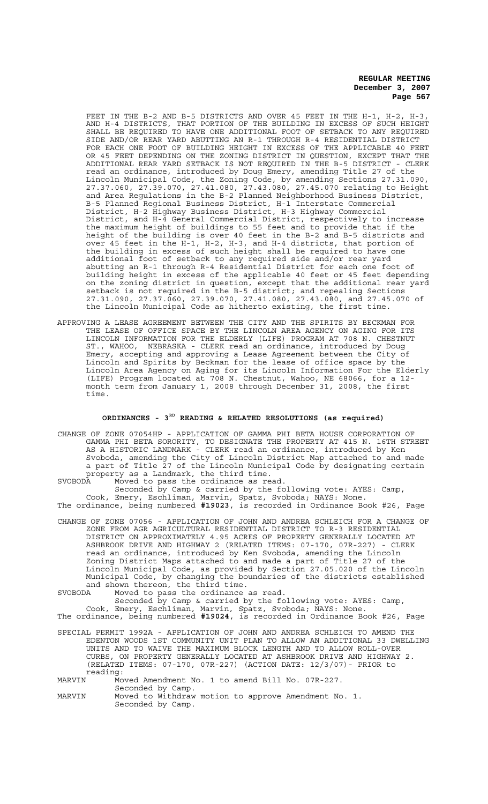FEET IN THE B-2 AND B-5 DISTRICTS AND OVER 45 FEET IN THE H-1, H-2, H-3, AND H-4 DISTRICTS, THAT PORTION OF THE BUILDING IN EXCESS OF SUCH HEIGHT SHALL BE REQUIRED TO HAVE ONE ADDITIONAL FOOT OF SETBACK TO ANY REQUIRED SIDE AND/OR REAR YARD ABUTTING AN R-1 THROUGH R-4 RESIDENTIAL DISTRICT FOR EACH ONE FOOT OF BUILDING HEIGHT IN EXCESS OF THE APPLICABLE 40 FEET OR 45 FEET DEPENDING ON THE ZONING DISTRICT IN QUESTION, EXCEPT THAT THE ADDITIONAL REAR YARD SETBACK IS NOT REQUIRED IN THE B-5 DISTRICT - CLERK read an ordinance, introduced by Doug Emery, amending Title 27 of the Lincoln Municipal Code, the Zoning Code, by amending Sections 27.31.090, 27.37.060, 27.39.070, 27.41.080, 27.43.080, 27.45.070 relating to Height and Area Regulations in the B-2 Planned Neighborhood Business District, B-5 Planned Regional Business District, H-1 Interstate Commercial District, H-2 Highway Business District, H-3 Highway Commercial District, and H-4 General Commercial District, respectively to increase the maximum height of buildings to 55 feet and to provide that if the height of the building is over 40 feet in the B-2 and B-5 districts and over 45 feet in the H-1, H-2, H-3, and H-4 districts, that portion of the building in excess of such height shall be required to have one additional foot of setback to any required side and/or rear yard abutting an R-1 through R-4 Residential District for each one foot of building height in excess of the applicable 40 feet or 45 feet depending on the zoning district in question, except that the additional rear yard setback is not required in the B-5 district; and repealing Sections 27.31.090, 27.37.060, 27.39.070, 27.41.080, 27.43.080, and 27.45.070 of the Lincoln Municipal Code as hitherto existing, the first time.

APPROVING A LEASE AGREEMENT BETWEEN THE CITY AND THE SPIRITS BY BECKMAN FOR THE LEASE OF OFFICE SPACE BY THE LINCOLN AREA AGENCY ON AGING FOR ITS LINCOLN INFORMATION FOR THE ELDERLY (LIFE) PROGRAM AT 708 N. CHESTNUT ST., WAHOO, NEBRASKA - CLERK read an ordinance, introduced by Doug Emery, accepting and approving a Lease Agreement between the City of Lincoln and Spirits by Beckman for the lease of office space by the Lincoln Area Agency on Aging for its Lincoln Information For the Elderly (LIFE) Program located at 708 N. Chestnut, Wahoo, NE 68066, for a 12 month term from January 1, 2008 through December 31, 2008, the first time.

#### **ORDINANCES - 3RD READING & RELATED RESOLUTIONS (as required)**

CHANGE OF ZONE 07054HP - APPLICATION OF GAMMA PHI BETA HOUSE CORPORATION OF GAMMA PHI BETA SORORITY, TO DESIGNATE THE PROPERTY AT 415 N. 16TH STREET AS A HISTORIC LANDMARK - CLERK read an ordinance, introduced by Ken Svoboda, amending the City of Lincoln District Map attached to and made a part of Title 27 of the Lincoln Municipal Code by designating certain property as a Landmark, the third time.<br>SVOBODA Moved to pass the ordinance as re

SVOBODA Moved to pass the ordinance as read. Seconded by Camp & carried by the following vote: AYES: Camp, Cook, Emery, Eschliman, Marvin, Spatz, Svoboda; NAYS: None. The ordinance, being numbered **#19023**, is recorded in Ordinance Book #26, Page

- CHANGE OF ZONE 07056 APPLICATION OF JOHN AND ANDREA SCHLEICH FOR A CHANGE OF ZONE FROM AGR AGRICULTURAL RESIDENTIAL DISTRICT TO R-3 RESIDENTIAL DISTRICT ON APPROXIMATELY 4.95 ACRES OF PROPERTY GENERALLY LOCATED AT ASHBROOK DRIVE AND HIGHWAY 2 (RELATED ITEMS: 07-170, 07R-227) - CLERK read an ordinance, introduced by Ken Svoboda, amending the Lincoln Zoning District Maps attached to and made a part of Title 27 of the Lincoln Municipal Code, as provided by Section 27.05.020 of the Lincoln Municipal Code, by changing the boundaries of the districts established and shown thereon, the third time.
- SVOBODA Moved to pass the ordinance as read.

Seconded by Camp & carried by the following vote: AYES: Camp, Cook, Emery, Eschliman, Marvin, Spatz, Svoboda; NAYS: None.

- The ordinance, being numbered **#19024**, is recorded in Ordinance Book #26, Page
- SPECIAL PERMIT 1992A APPLICATION OF JOHN AND ANDREA SCHLEICH TO AMEND THE EDENTON WOODS 1ST COMMUNITY UNIT PLAN TO ALLOW AN ADDITIONAL 33 DWELLING UNITS AND TO WAIVE THE MAXIMUM BLOCK LENGTH AND TO ALLOW ROLL-OVER CURBS, ON PROPERTY GENERALLY LOCATED AT ASHBROOK DRIVE AND HIGHWAY 2. (RELATED ITEMS: 07-170, 07R-227) (ACTION DATE: 12/3/07)- PRIOR to reading:<br>MARVIN Mo

Moved Amendment No. 1 to amend Bill No. 07R-227. Seconded by Camp.

MARVIN Moved to Withdraw motion to approve Amendment No. 1. Seconded by Camp.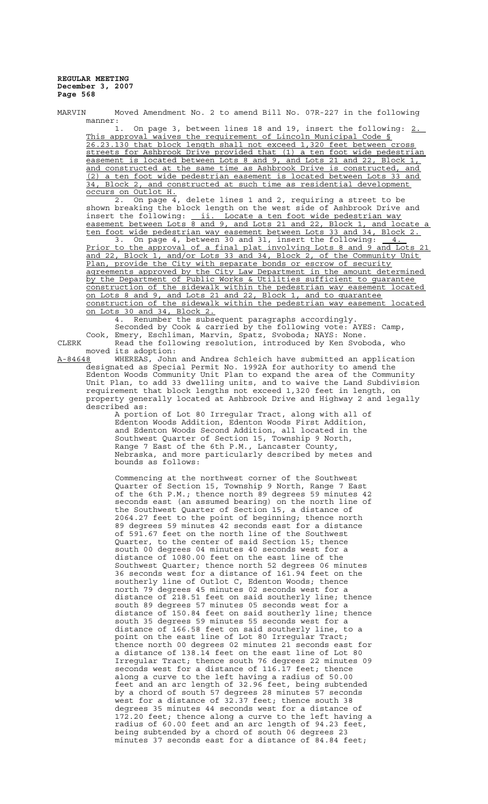MARVIN Moved Amendment No. 2 to amend Bill No. 07R-227 in the following manner:

On page 3, between lines 18 and 19, insert the following: 2. This approval waives the requirement of Lincoln Municipal Code § 26.23.130 that block length shall not exceed 1,320 feet between cross streets for Ashbrook Drive provided that (1) a ten foot wide pedestrian easement is located between Lots 8 and 9, and Lots 21 and 22, Block 1, and constructed at the same time as Ashbrook Drive is constructed, and (2) a ten foot wide pedestrian easement is located between Lots 33 and 34, Block 2, and constructed at such time as residential development occurs on Outlot H.

2. On page 4, delete lines 1 and 2, requiring a street to be shown breaking the block length on the west side of Ashbrook Drive and insert the following: <u>ii. Locate a ten foot wide pedestrian way</u> easement between Lots 8 and 9, and Lots 21 and 22, Block 1, and locate a ten foot wide pedestrian way easement between Lots 33 and 34, Block 2.

3. On page 4, between 30 and 31, insert the following:  $\frac{4}{4}$ . Prior to the approval of a final plat involving Lots 8 and 9 and Lots 21 and 22, Block 1, and/or Lots 33 and 34, Block 2, of the Community Unit Plan, provide the City with separate bonds or escrow of security agreements approved by the City Law Department in the amount determined by the Department of Public Works & Utilities sufficient to guarantee construction of the sidewalk within the pedestrian way easement located on Lots 8 and 9, and Lots 21 and 22, Block 1, and to guarantee construction of the sidewalk within the pedestrian way easement located on Lots 30 and 34, Block 2.

4. Renumber the subsequent paragraphs accordingly.

Seconded by Cook & carried by the following vote: AYES: Camp, Cook, Emery, Eschliman, Marvin, Spatz, Svoboda; NAYS: None. CLERK Read the following resolution, introduced by Ken Svoboda, who

moved its adoption:<br>A-84648 WHEREAS, John WHEREAS, John and Andrea Schleich have submitted an application designated as Special Permit No. 1992A for authority to amend the Edenton Woods Community Unit Plan to expand the area of the Community Unit Plan, to add 33 dwelling units, and to waive the Land Subdivision requirement that block lengths not exceed 1,320 feet in length, on property generally located at Ashbrook Drive and Highway 2 and legally described as:

A portion of Lot 80 Irregular Tract, along with all of Edenton Woods Addition, Edenton Woods First Addition, and Edenton Woods Second Addition, all located in the Southwest Quarter of Section 15, Township 9 North, Range 7 East of the 6th P.M., Lancaster County, Nebraska, and more particularly described by metes and bounds as follows:

Commencing at the northwest corner of the Southwest Quarter of Section 15, Township 9 North, Range 7 East of the 6th P.M.; thence north 89 degrees 59 minutes 42 seconds east (an assumed bearing) on the north line of the Southwest Quarter of Section 15, a distance of 2064.27 feet to the point of beginning; thence north 89 degrees 59 minutes 42 seconds east for a distance of 591.67 feet on the north line of the Southwest Quarter, to the center of said Section 15; thence south 00 degrees 04 minutes 40 seconds west for a distance of 1080.00 feet on the east line of the Southwest Quarter; thence north 52 degrees 06 minutes 36 seconds west for a distance of 161.94 feet on the southerly line of Outlot C, Edenton Woods; thence north 79 degrees 45 minutes 02 seconds west for a distance of 218.51 feet on said southerly line; thence south 89 degrees 57 minutes 05 seconds west for a distance of 150.84 feet on said southerly line; thence south 35 degrees 59 minutes 55 seconds west for a distance of 166.58 feet on said southerly line, to a point on the east line of Lot 80 Irregular Tract; thence north 00 degrees 02 minutes 21 seconds east for a distance of 138.14 feet on the east line of Lot 80 Irregular Tract; thence south 76 degrees 22 minutes 09 seconds west for a distance of 116.17 feet; thence along a curve to the left having a radius of 50.00 feet and an arc length of 32.96 feet, being subtended by a chord of south 57 degrees 28 minutes 57 seconds west for a distance of 32.37 feet; thence south 38 degrees 35 minutes 44 seconds west for a distance of 172.20 feet; thence along a curve to the left having a radius of 60.00 feet and an arc length of 94.23 feet, being subtended by a chord of south 06 degrees 23 minutes 37 seconds east for a distance of 84.84 feet;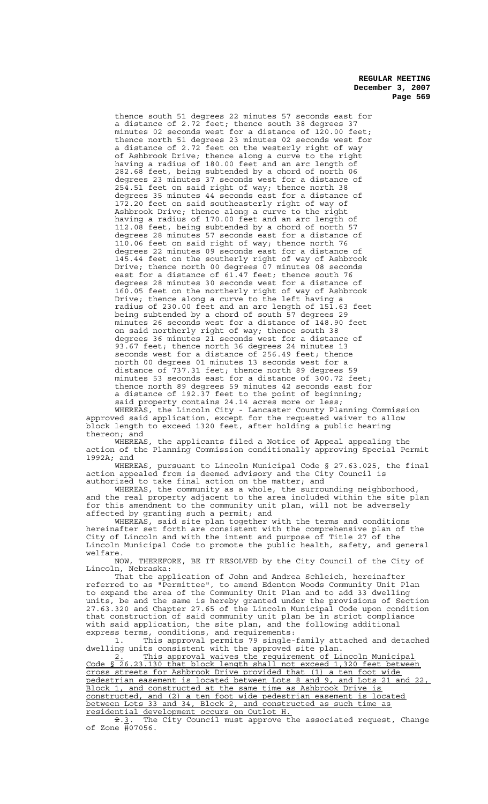thence south 51 degrees 22 minutes 57 seconds east for a distance of 2.72 feet; thence south 38 degrees 37 minutes 02 seconds west for a distance of 120.00 feet; thence north 51 degrees 23 minutes 02 seconds west for a distance of 2.72 feet on the westerly right of way of Ashbrook Drive; thence along a curve to the right having a radius of 180.00 feet and an arc length of 282.68 feet, being subtended by a chord of north 06 degrees 23 minutes 37 seconds west for a distance of 254.51 feet on said right of way; thence north 38 degrees 35 minutes 44 seconds east for a distance of 172.20 feet on said southeasterly right of way of Ashbrook Drive; thence along a curve to the right having a radius of 170.00 feet and an arc length of 112.08 feet, being subtended by a chord of north 57 degrees 28 minutes 57 seconds east for a distance of 110.06 feet on said right of way; thence north 76 degrees 22 minutes 09 seconds east for a distance of 145.44 feet on the southerly right of way of Ashbrook Drive; thence north 00 degrees 07 minutes 08 seconds east for a distance of 61.47 feet; thence south 76 degrees 28 minutes 30 seconds west for a distance of 160.05 feet on the northerly right of way of Ashbrook Drive; thence along a curve to the left having a radius of 230.00 feet and an arc length of 151.63 feet being subtended by a chord of south 57 degrees 29 minutes 26 seconds west for a distance of 148.90 feet on said northerly right of way; thence south 38 degrees 36 minutes 21 seconds west for a distance of 93.67 feet; thence north 36 degrees 24 minutes 13 seconds west for a distance of 256.49 feet; thence north 00 degrees 01 minutes 13 seconds west for a distance of 737.31 feet; thence north 89 degrees 59 minutes 53 seconds east for a distance of 300.72 feet; thence north 89 degrees 59 minutes 42 seconds east for a distance of 192.37 feet to the point of beginning; said property contains 24.14 acres more or less;

WHEREAS, the Lincoln City - Lancaster County Planning Commission approved said application, except for the requested waiver to allow block length to exceed 1320 feet, after holding a public hearing thereon; and

WHEREAS, the applicants filed a Notice of Appeal appealing the action of the Planning Commission conditionally approving Special Permit 1992A; and

WHEREAS, pursuant to Lincoln Municipal Code § 27.63.025, the final action appealed from is deemed advisory and the City Council is authorized to take final action on the matter; and

WHEREAS, the community as a whole, the surrounding neighborhood, and the real property adjacent to the area included within the site plan for this amendment to the community unit plan, will not be adversely affected by granting such a permit; and

WHEREAS, said site plan together with the terms and conditions hereinafter set forth are consistent with the comprehensive plan of the City of Lincoln and with the intent and purpose of Title 27 of the Lincoln Municipal Code to promote the public health, safety, and general welfare.

NOW, THEREFORE, BE IT RESOLVED by the City Council of the City of Lincoln, Nebraska:

That the application of John and Andrea Schleich, hereinafter referred to as "Permittee", to amend Edenton Woods Community Unit Plan to expand the area of the Community Unit Plan and to add 33 dwelling units, be and the same is hereby granted under the provisions of Section 27.63.320 and Chapter 27.65 of the Lincoln Municipal Code upon condition that construction of said community unit plan be in strict compliance with said application, the site plan, and the following additional express terms, conditions, and requirements:

1. This approval permits 79 single-family attached and detached dwelling units consistent with the approved site plan.

2. This approval waives the requirement of Lincoln Municipal Code § 26.23.130 that block length shall not exceed 1,320 feet between cross streets for Ashbrook Drive provided that (1) a ten foot wide pedestrian easement is located between Lots 8 and 9, and Lots 21 and 22, Block 1, and constructed at the same time as Ashbrook Drive is constructed, and (2) a ten foot wide pedestrian easement is located between Lots 33 and 34, Block 2, and constructed as such time as residential development occurs on Outlot H.

2.3. The City Council must approve the associated request, Change of Zone #07056.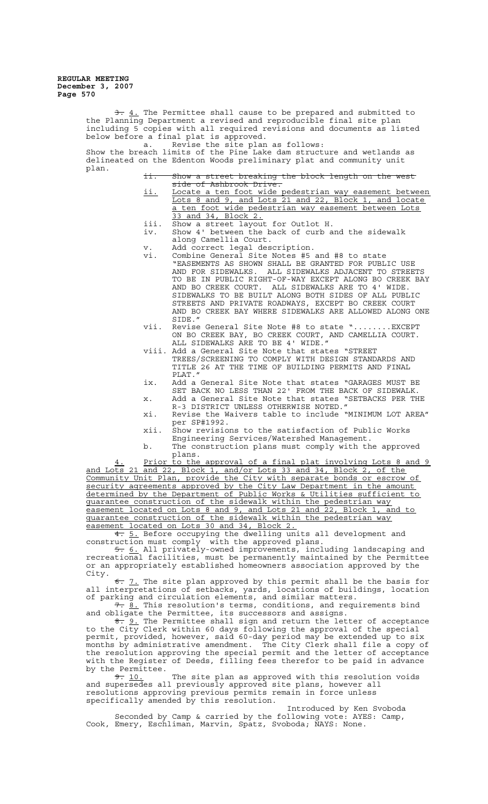> $\frac{1}{2}$ . The Permittee shall cause to be prepared and submitted to the Planning Department a revised and reproducible final site plan including 5 copies with all required revisions and documents as listed below before a final plat is approved. a. Revise the site plan as follows: Show the breach limits of the Pine Lake dam structure and wetlands as delineated on the Edenton Woods preliminary plat and community unit plan. ii. Show a street breaking the block length on the west side of Ashbrook Driv ii. Locate a ten foot wide pedestrian way easement between Lots 8 and 9, and Lots 21 and 22, Block 1, and locate a ten foot wide pedestrian way easement between Lots 33 and 34, Block 2. iii. Show a street layout for Outlot H. iv. Show 4' between the back of curb and the sidewalk along Camellia Court. v. Add correct legal description. vi. Combine General Site Notes #5 and #8 to state "EASEMENTS AS SHOWN SHALL BE GRANTED FOR PUBLIC USE AND FOR SIDEWALKS. ALL SIDEWALKS ADJACENT TO STREETS TO BE IN PUBLIC RIGHT-OF-WAY EXCEPT ALONG BO CREEK BAY AND BO CREEK COURT. ALL SIDEWALKS ARE TO 4' WIDE. SIDEWALKS TO BE BUILT ALONG BOTH SIDES OF ALL PUBLIC STREETS AND PRIVATE ROADWAYS, EXCEPT BO CREEK COURT AND BO CREEK BAY WHERE SIDEWALKS ARE ALLOWED ALONG ONE SIDE." vii. Revise General Site Note #8 to state "........EXCEPT ON BO CREEK BAY, BO CREEK COURT, AND CAMELLIA COURT. ALL SIDEWALKS ARE TO BE 4' WIDE." viii. Add a General Site Note that states "STREET TREES/SCREENING TO COMPLY WITH DESIGN STANDARDS AND TITLE 26 AT THE TIME OF BUILDING PERMITS AND FINAL PLAT." ix. Add a General Site Note that states "GARAGES MUST BE SET BACK NO LESS THAN 22' FROM THE BACK OF SIDEWALK. x. Add a General Site Note that states "SETBACKS PER THE R-3 DISTRICT UNLESS OTHERWISE NOTED." xi. Revise the Waivers table to include "MINIMUM LOT AREA" per SP#1992. xii. Show revisions to the satisfaction of Public Works Engineering Services/Watershed Management. b. The construction plans must comply with the approved plans. Prior to the approval of a final plat involving Lots 8 and 9 and Lots 21 and 22, Block 1, and/or Lots 33 and 34, Block 2, of the Community Unit Plan, provide the City with separate bonds or escrow of security agreements approved by the City Law Department in the amount determined by the Department of Public Works & Utilities sufficient to guarantee construction of the sidewalk within the pedestrian way easement located on Lots 8 and 9, and Lots 21 and 22, Block 1, and to Easement Iccutes on Dock of the sidewalk within the pedestrian way easement located on Lots 30 and 34, Block 2. 4. 5. Before occupying the dwelling units all development and construction must comply with the approved plans. 5. 6. All privately-owned improvements, including landscaping and recreational facilities, must be permanently maintained by the Permittee or an appropriately established homeowners association approved by the City. 6. 7. The site plan approved by this permit shall be the basis for all interpretations of setbacks, yards, locations of buildings, location of parking and circulation elements, and similar matters. 7. 8. This resolution's terms, conditions, and requirements bind

> and obligate the Permittee, its successors and assigns.<br> $\frac{2}{\pi}$ , 9. The Permittee shall sign and return the let 9. The Permittee shall sign and return the letter of acceptance to the City Clerk within 60 days following the approval of the special permit, provided, however, said 60-day period may be extended up to six months by administrative amendment. The City Clerk shall file a copy of the resolution approving the special permit and the letter of acceptance with the Register of Deeds, filling fees therefor to be paid in advance by the Permittee.<br> $\frac{9}{2}$ . 10.

The site plan as approved with this resolution voids and supersedes all previously approved site plans, however all resolutions approving previous permits remain in force unless specifically amended by this resolution.

Introduced by Ken Svoboda Seconded by Camp & carried by the following vote: AYES: Camp, Cook, Emery, Eschliman, Marvin, Spatz, Svoboda; NAYS: None.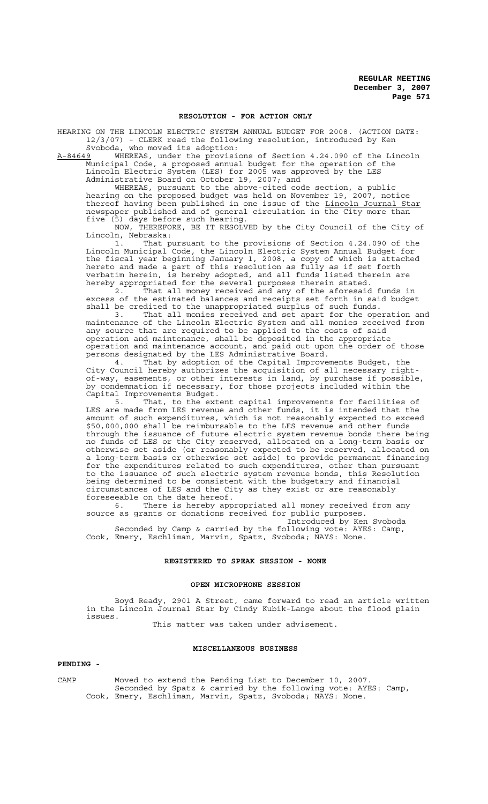#### **RESOLUTION - FOR ACTION ONLY**

HEARING ON THE LINCOLN ELECTRIC SYSTEM ANNUAL BUDGET FOR 2008. (ACTION DATE: 12/3/07) - CLERK read the following resolution, introduced by Ken Svoboda, who moved its adoption:

A-84649 WHEREAS, under the provisions of Section 4.24.090 of the Lincoln Municipal Code, a proposed annual budget for the operation of the Lincoln Electric System (LES) for 2005 was approved by the LES Administrative Board on October 19, 2007; and

WHEREAS, pursuant to the above-cited code section, a public hearing on the proposed budget was held on November 19, 2007, notice thereof having been published in one issue of the Lincoln Journal Star newspaper published and of general circulation in the City more than five (5) days before such hearing.

NOW, THEREFORE, BE IT RESOLVED by the City Council of the City of Lincoln, Nebraska:

1. That pursuant to the provisions of Section 4.24.090 of the Lincoln Municipal Code, the Lincoln Electric System Annual Budget for the fiscal year beginning January 1, 2008, a copy of which is attached hereto and made a part of this resolution as fully as if set forth verbatim herein, is hereby adopted, and all funds listed therein are hereby appropriated for the several purposes therein stated.

2. That all money received and any of the aforesaid funds in excess of the estimated balances and receipts set forth in said budget shall be credited to the unappropriated surplus of such funds.

3. That all monies received and set apart for the operation and maintenance of the Lincoln Electric System and all monies received from any source that are required to be applied to the costs of said operation and maintenance, shall be deposited in the appropriate operation and maintenance account, and paid out upon the order of those persons designated by the LES Administrative Board.

4. That by adoption of the Capital Improvements Budget, the City Council hereby authorizes the acquisition of all necessary rightof-way, easements, or other interests in land, by purchase if possible, by condemnation if necessary, for those projects included within the Capital Improvements Budget.

5. That, to the extent capital improvements for facilities of LES are made from LES revenue and other funds, it is intended that the amount of such expenditures, which is not reasonably expected to exceed \$50,000,000 shall be reimbursable to the LES revenue and other funds through the issuance of future electric system revenue bonds there being no funds of LES or the City reserved, allocated on a long-term basis or otherwise set aside (or reasonably expected to be reserved, allocated on a long-term basis or otherwise set aside) to provide permanent financing for the expenditures related to such expenditures, other than pursuant to the issuance of such electric system revenue bonds, this Resolution being determined to be consistent with the budgetary and financial circumstances of LES and the City as they exist or are reasonably foreseeable on the date hereof.

6. There is hereby appropriated all money received from any source as grants or donations received for public purposes.

Introduced by Ken Svoboda Seconded by Camp & carried by the following vote: AYES: Camp, Cook, Emery, Eschliman, Marvin, Spatz, Svoboda; NAYS: None.

### **REGISTERED TO SPEAK SESSION - NONE**

#### **OPEN MICROPHONE SESSION**

Boyd Ready, 2901 A Street, came forward to read an article written in the Lincoln Journal Star by Cindy Kubik-Lange about the flood plain issues.

This matter was taken under advisement.

#### **MISCELLANEOUS BUSINESS**

#### **PENDING -**

CAMP Moved to extend the Pending List to December 10, 2007. Seconded by Spatz & carried by the following vote: AYES: Camp, Cook, Emery, Eschliman, Marvin, Spatz, Svoboda; NAYS: None.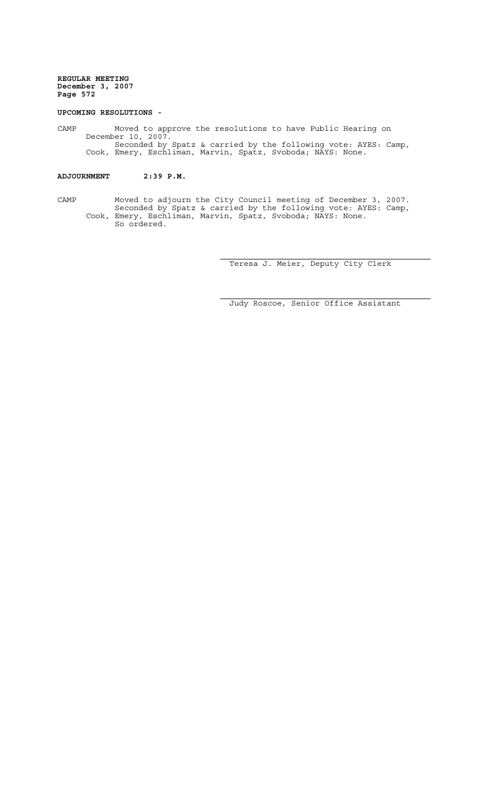#### **UPCOMING RESOLUTIONS -**

CAMP Moved to approve the resolutions to have Public Hearing on December 10, 2007. Seconded by Spatz & carried by the following vote: AYES: Camp, Cook, Emery, Eschliman, Marvin, Spatz, Svoboda; NAYS: None.

# **ADJOURNMENT 2:39 P.M.**

CAMP Moved to adjourn the City Council meeting of December 3, 2007. Seconded by Spatz & carried by the following vote: AYES: Camp, Cook, Emery, Eschliman, Marvin, Spatz, Svoboda; NAYS: None. So ordered.

Teresa J. Meier, Deputy City Clerk

Judy Roscoe, Senior Office Assistant